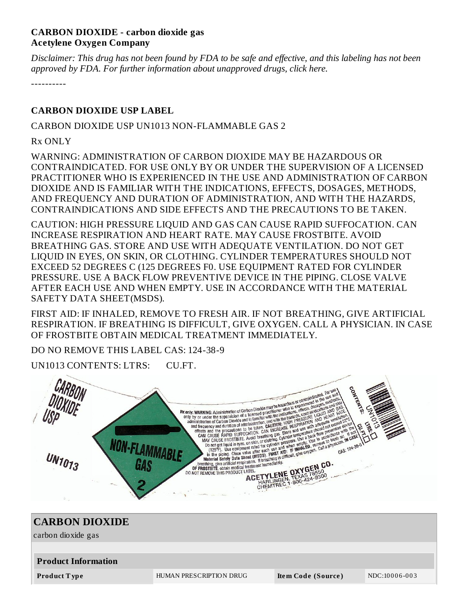## **CARBON DIOXIDE - carbon dioxide gas Acetylene Oxygen Company**

Disclaimer: This drug has not been found by FDA to be safe and effective, and this labeling has not been *approved by FDA. For further information about unapproved drugs, click here.*

----------

## **CARBON DIOXIDE USP LABEL**

#### CARBON DIOXIDE USP UN1013 NON-FLAMMABLE GAS 2

Rx ONLY

WARNING: ADMINISTRATION OF CARBON DIOXIDE MAY BE HAZARDOUS OR CONTRAINDICATED. FOR USE ONLY BY OR UNDER THE SUPERVISION OF A LICENSED PRACTITIONER WHO IS EXPERIENCED IN THE USE AND ADMINISTRATION OF CARBON DIOXIDE AND IS FAMILIAR WITH THE INDICATIONS, EFFECTS, DOSAGES, METHODS, AND FREQUENCY AND DURATION OF ADMINISTRATION, AND WITH THE HAZARDS, CONTRAINDICATIONS AND SIDE EFFECTS AND THE PRECAUTIONS TO BE TAKEN.

CAUTION: HIGH PRESSURE LIQUID AND GAS CAN CAUSE RAPID SUFFOCATION. CAN INCREASE RESPIRATION AND HEART RATE. MAY CAUSE FROSTBITE. AVOID BREATHING GAS. STORE AND USE WITH ADEQUATE VENTILATION. DO NOT GET LIQUID IN EYES, ON SKIN, OR CLOTHING. CYLINDER TEMPERATURES SHOULD NOT EXCEED 52 DEGREES C (125 DEGREES F0. USE EQUIPMENT RATED FOR CYLINDER PRESSURE. USE A BACK FLOW PREVENTIVE DEVICE IN THE PIPING. CLOSE VALVE AFTER EACH USE AND WHEN EMPTY. USE IN ACCORDANCE WITH THE MATERIAL SAFETY DATA SHEET(MSDS).

FIRST AID: IF INHALED, REMOVE TO FRESH AIR. IF NOT BREATHING, GIVE ARTIFICIAL RESPIRATION. IF BREATHING IS DIFFICULT, GIVE OXYGEN. CALL A PHYSICIAN. IN CASE OF FROSTBITE OBTAIN MEDICAL TREATMENT IMMEDIATELY.

DO NO REMOVE THIS LABEL CAS: 124-38-9

UN1013 CONTENTS: LTRS: CU.FT.



| <b>CARBON DIOXIDE</b>      |                         |                    |               |  |  |  |  |
|----------------------------|-------------------------|--------------------|---------------|--|--|--|--|
| carbon dioxide gas         |                         |                    |               |  |  |  |  |
|                            |                         |                    |               |  |  |  |  |
| <b>Product Information</b> |                         |                    |               |  |  |  |  |
| Product Type               | HUMAN PRESCRIPTION DRUG | Item Code (Source) | NDC:10006-003 |  |  |  |  |